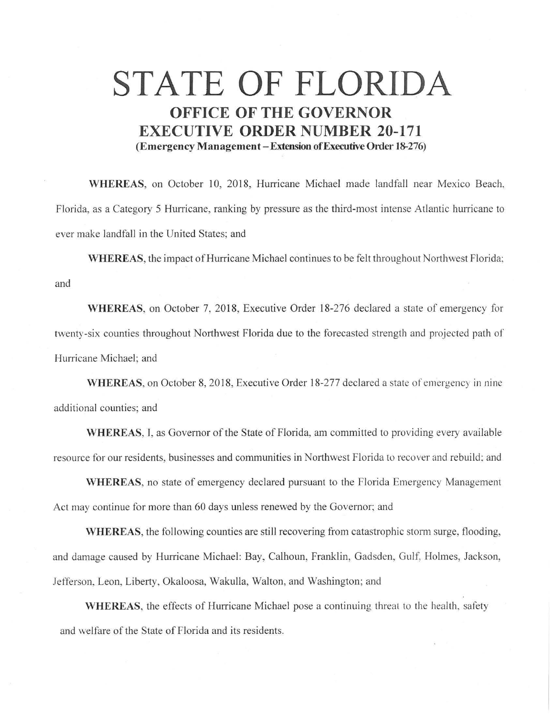## **STATE OF FLORIDA OFFICE OF THE GOVERNOR EXECUTIVE ORDER NUMBER 20-171 (Emergency Management-Extension ofExecutive Order 18-276)**

**WHEREAS,** on October 10, 2018, Hurricane Michael made landfall near Mexico Beach, Florida, as a Category 5 Hurricane, ranking by pressure as the third-most intense Atlantic hurricane to ever make landfall in the United States; and

**WHEREAS,** the impact of Hurricane Michael continues to be felt throughout Northwest Florida: and

**WHEREAS,** on October 7, 2018, Executive Order 18-276 declared a state of emergency for twenty-six counties throughout Northwest Florida due to the forecasted strength and projected path of Hurricane Michael; and

**WHEREAS,** on October 8, 2018, Executive Order 18-277 declared a state of emergency in nine additional counties; and

**WHEREAS,** I, as Governor of the State of Florida, am committed to providing every available resource for our residents, businesses and communities in Northwest Florida to recover and rebuild: and

**WHEREAS,** no state of emergency declared pursuant to the Florida Emergency Management Act may continue for more than 60 days unless renewed by the Governor; and

**WHEREAS,** the following counties are still recovering from catastrophic storm surge, flooding, and damage caused by Hurricane Michael: Bay, Calhoun, Franklin, Gadsden, Gulf, Holmes, Jackson, Jefferson, Leon, Liberty, Okaloosa, Wakulla, Walton, and Washington; and

**WHEREAS,** the effects of Hurricane Michael pose a continuing threat to the health, safety and welfare of the State of Florida and its residents.